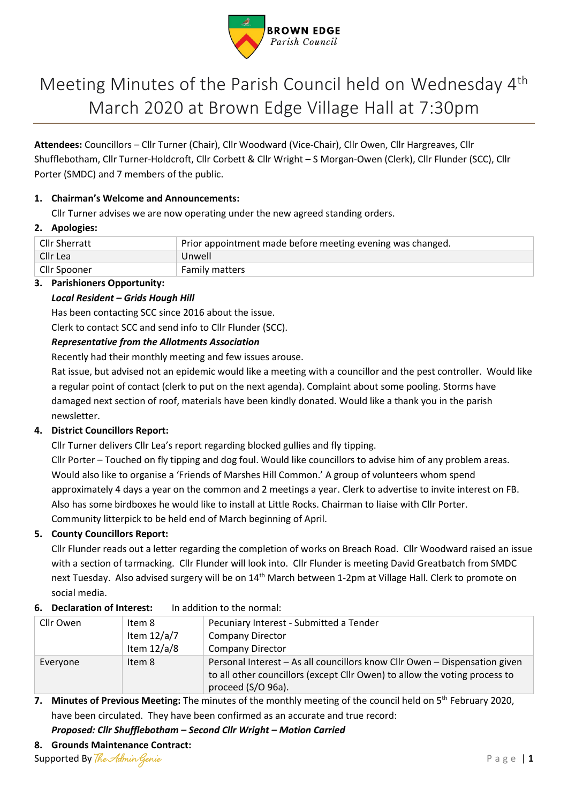

# Meeting Minutes of the Parish Council held on Wednesday 4<sup>th</sup> March 2020 at Brown Edge Village Hall at 7:30pm

**Attendees:** Councillors – Cllr Turner (Chair), Cllr Woodward (Vice-Chair), Cllr Owen, Cllr Hargreaves, Cllr Shufflebotham, Cllr Turner-Holdcroft, Cllr Corbett & Cllr Wright – S Morgan-Owen (Clerk), Cllr Flunder (SCC), Cllr Porter (SMDC) and 7 members of the public.

# **1. Chairman's Welcome and Announcements:**

Cllr Turner advises we are now operating under the new agreed standing orders.

# **2. Apologies:**

| Cllr Sherratt | Prior appointment made before meeting evening was changed. |  |
|---------------|------------------------------------------------------------|--|
| Cllr Lea      | Unwell                                                     |  |
| Cllr Spooner  | <b>Family matters</b>                                      |  |

# **3. Parishioners Opportunity:**

# *Local Resident – Grids Hough Hill*

Has been contacting SCC since 2016 about the issue.

Clerk to contact SCC and send info to Cllr Flunder (SCC).

# *Representative from the Allotments Association*

Recently had their monthly meeting and few issues arouse.

Rat issue, but advised not an epidemic would like a meeting with a councillor and the pest controller. Would like a regular point of contact (clerk to put on the next agenda). Complaint about some pooling. Storms have damaged next section of roof, materials have been kindly donated. Would like a thank you in the parish newsletter.

# **4. District Councillors Report:**

Cllr Turner delivers Cllr Lea's report regarding blocked gullies and fly tipping. Cllr Porter – Touched on fly tipping and dog foul. Would like councillors to advise him of any problem areas. Would also like to organise a 'Friends of Marshes Hill Common.' A group of volunteers whom spend approximately 4 days a year on the common and 2 meetings a year. Clerk to advertise to invite interest on FB. Also has some birdboxes he would like to install at Little Rocks. Chairman to liaise with Cllr Porter. Community litterpick to be held end of March beginning of April.

# **5. County Councillors Report:**

Cllr Flunder reads out a letter regarding the completion of works on Breach Road. Cllr Woodward raised an issue with a section of tarmacking. Cllr Flunder will look into. Cllr Flunder is meeting David Greatbatch from SMDC next Tuesday. Also advised surgery will be on 14<sup>th</sup> March between 1-2pm at Village Hall. Clerk to promote on social media.

# **6. Declaration of Interest:** In addition to the normal:

| Cllr Owen | Item 8        | Pecuniary Interest - Submitted a Tender                                                                                                                                        |
|-----------|---------------|--------------------------------------------------------------------------------------------------------------------------------------------------------------------------------|
|           | Item $12/a/7$ | <b>Company Director</b>                                                                                                                                                        |
|           | Item $12/a/8$ | <b>Company Director</b>                                                                                                                                                        |
| Everyone  | Item 8        | Personal Interest - As all councillors know Cllr Owen - Dispensation given<br>to all other councillors (except Cllr Owen) to allow the voting process to<br>proceed (S/O 96a). |

# 7. Minutes of Previous Meeting: The minutes of the monthly meeting of the council held on 5<sup>th</sup> February 2020, have been circulated. They have been confirmed as an accurate and true record:

*Proposed: Cllr Shufflebotham – Second Cllr Wright – Motion Carried*

# **8. Grounds Maintenance Contract:**

Supported By *The Admin Genie* P a g e | 1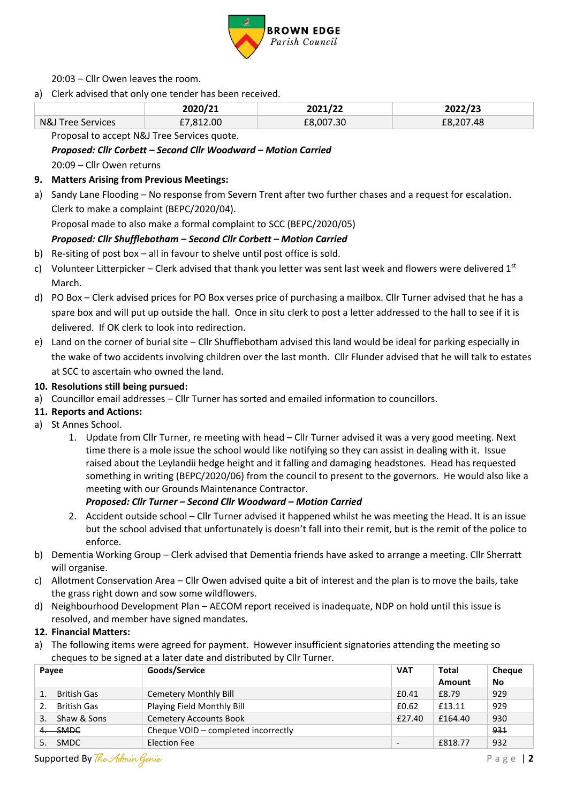

20:03 – Cllr Owen leaves the room.

a) Clerk advised that only one tender has been received.

|                   | 2020/21   | 2021/22   | 2022/23   |  |  |
|-------------------|-----------|-----------|-----------|--|--|
| N&J Tree Services | £7,812.00 | £8,007.30 | £8,207.48 |  |  |
|                   |           |           |           |  |  |

Proposal to accept N&J Tree Services quote.

# *Proposed: Cllr Corbett – Second Cllr Woodward – Motion Carried*

20:09 – Cllr Owen returns

#### **9. Matters Arising from Previous Meetings:**

a) Sandy Lane Flooding – No response from Severn Trent after two further chases and a request for escalation. Clerk to make a complaint (BEPC/2020/04).

Proposal made to also make a formal complaint to SCC (BEPC/2020/05)

# *Proposed: Cllr Shufflebotham – Second Cllr Corbett – Motion Carried*

- b) Re-siting of post box all in favour to shelve until post office is sold.
- c) Volunteer Litterpicker Clerk advised that thank you letter was sent last week and flowers were delivered  $1^{st}$ March.
- d) PO Box Clerk advised prices for PO Box verses price of purchasing a mailbox. Cllr Turner advised that he has a spare box and will put up outside the hall. Once in situ clerk to post a letter addressed to the hall to see if it is delivered. If OK clerk to look into redirection.
- e) Land on the corner of burial site Cllr Shufflebotham advised this land would be ideal for parking especially in the wake of two accidents involving children over the last month. Cllr Flunder advised that he will talk to estates at SCC to ascertain who owned the land.

#### **10. Resolutions still being pursued:**

- a) Councillor email addresses Cllr Turner has sorted and emailed information to councillors.
- **11. Reports and Actions:**
- a) St Annes School.
	- 1. Update from Cllr Turner, re meeting with head Cllr Turner advised it was a very good meeting. Next time there is a mole issue the school would like notifying so they can assist in dealing with it. Issue raised about the Leylandii hedge height and it falling and damaging headstones. Head has requested something in writing (BEPC/2020/06) from the council to present to the governors. He would also like a meeting with our Grounds Maintenance Contractor.

#### *Proposed: Cllr Turner – Second Cllr Woodward – Motion Carried*

- 2. Accident outside school Cllr Turner advised it happened whilst he was meeting the Head. It is an issue but the school advised that unfortunately is doesn't fall into their remit, but is the remit of the police to enforce.
- b) Dementia Working Group Clerk advised that Dementia friends have asked to arrange a meeting. Cllr Sherratt will organise.
- c) Allotment Conservation Area Cllr Owen advised quite a bit of interest and the plan is to move the bails, take the grass right down and sow some wildflowers.
- d) Neighbourhood Development Plan AECOM report received is inadequate, NDP on hold until this issue is resolved, and member have signed mandates.
- **12. Financial Matters:**
- a) The following items were agreed for payment. However insufficient signatories attending the meeting so cheques to be signed at a later date and distributed by Cllr Turner.

| Payee |                    | Goods/Service                       | <b>VAT</b>               | Total   | <b>Cheque</b> |
|-------|--------------------|-------------------------------------|--------------------------|---------|---------------|
|       |                    |                                     |                          | Amount  | No            |
|       | <b>British Gas</b> | Cemetery Monthly Bill               | £0.41                    | £8.79   | 929           |
|       | British Gas        | Playing Field Monthly Bill          | £0.62                    | £13.11  | 929           |
| 3.    | Shaw & Sons        | <b>Cemetery Accounts Book</b>       | £27.40                   | £164.40 | 930           |
|       | -SMDC              | Cheque VOID - completed incorrectly |                          |         | 931           |
|       | 5. SMDC            | Election Fee                        | $\overline{\phantom{0}}$ | £818.77 | 932           |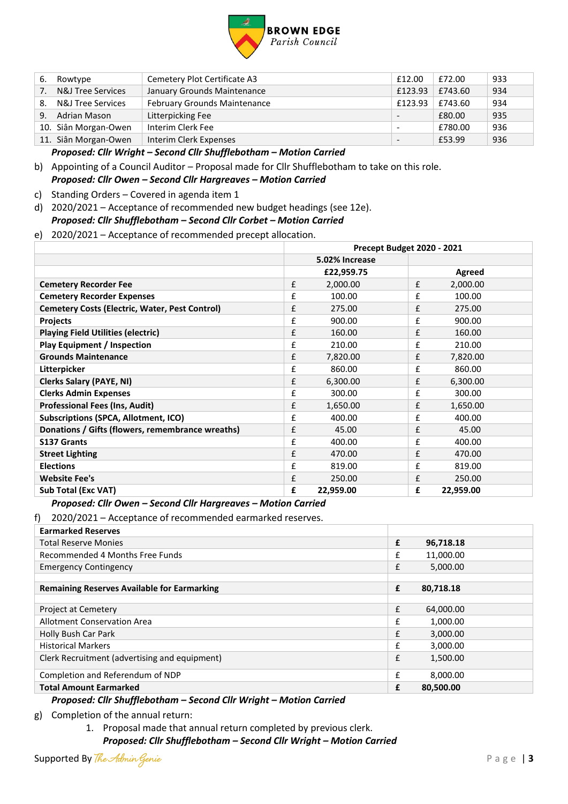

| 6. | Rowtype                      | Cemetery Plot Certificate A3        | £12.00                   | £72.00  | 933 |
|----|------------------------------|-------------------------------------|--------------------------|---------|-----|
| 7. | <b>N&amp;J Tree Services</b> | January Grounds Maintenance         | £123.93                  | £743.60 | 934 |
| 8. | <b>N&amp;J Tree Services</b> | <b>February Grounds Maintenance</b> | £123.93                  | £743.60 | 934 |
| 9. | Adrian Mason                 | Litterpicking Fee                   | $\overline{\phantom{a}}$ | £80.00  | 935 |
|    | 10. Siân Morgan-Owen         | Interim Clerk Fee                   | $\overline{\phantom{a}}$ | £780.00 | 936 |
|    | 11. Siân Morgan-Owen         | Interim Clerk Expenses              | $\overline{\phantom{a}}$ | £53.99  | 936 |
|    |                              |                                     |                          |         |     |

*Proposed: Cllr Wright – Second Cllr Shufflebotham – Motion Carried*

- b) Appointing of a Council Auditor Proposal made for Cllr Shufflebotham to take on this role. *Proposed: Cllr Owen – Second Cllr Hargreaves – Motion Carried*
- c) Standing Orders Covered in agenda item 1
- d) 2020/2021 Acceptance of recommended new budget headings (see 12e). *Proposed: Cllr Shufflebotham – Second Cllr Corbet – Motion Carried*
- e) 2020/2021 Acceptance of recommended precept allocation.

|                                                       | Precept Budget 2020 - 2021 |                |   |           |
|-------------------------------------------------------|----------------------------|----------------|---|-----------|
|                                                       |                            | 5.02% Increase |   |           |
|                                                       |                            | £22,959.75     |   | Agreed    |
| <b>Cemetery Recorder Fee</b>                          | £                          | 2,000.00       | £ | 2,000.00  |
| <b>Cemetery Recorder Expenses</b>                     | £                          | 100.00         | £ | 100.00    |
| <b>Cemetery Costs (Electric, Water, Pest Control)</b> | £                          | 275.00         | £ | 275.00    |
| <b>Projects</b>                                       | £                          | 900.00         | £ | 900.00    |
| <b>Playing Field Utilities (electric)</b>             | £                          | 160.00         | £ | 160.00    |
| <b>Play Equipment / Inspection</b>                    | £                          | 210.00         | £ | 210.00    |
| <b>Grounds Maintenance</b>                            | £                          | 7,820.00       | £ | 7,820.00  |
| Litterpicker                                          | £                          | 860.00         | £ | 860.00    |
| <b>Clerks Salary (PAYE, NI)</b>                       | £                          | 6,300.00       | £ | 6,300.00  |
| <b>Clerks Admin Expenses</b>                          | £                          | 300.00         | £ | 300.00    |
| <b>Professional Fees (Ins, Audit)</b>                 | £                          | 1,650.00       | £ | 1,650.00  |
| <b>Subscriptions (SPCA, Allotment, ICO)</b>           | £                          | 400.00         | £ | 400.00    |
| Donations / Gifts (flowers, remembrance wreaths)      | £                          | 45.00          | £ | 45.00     |
| <b>S137 Grants</b>                                    | £                          | 400.00         | £ | 400.00    |
| <b>Street Lighting</b>                                | £                          | 470.00         | £ | 470.00    |
| <b>Elections</b>                                      | £                          | 819.00         | £ | 819.00    |
| <b>Website Fee's</b>                                  | £                          | 250.00         | £ | 250.00    |
| <b>Sub Total (Exc VAT)</b>                            | £                          | 22,959.00      | £ | 22,959.00 |

#### *Proposed: Cllr Owen – Second Cllr Hargreaves – Motion Carried*

f) 2020/2021 – Acceptance of recommended earmarked reserves.

| <b>Earmarked Reserves</b>                          |   |           |
|----------------------------------------------------|---|-----------|
| <b>Total Reserve Monies</b>                        | £ | 96,718.18 |
| Recommended 4 Months Free Funds                    | £ | 11,000.00 |
| <b>Emergency Contingency</b>                       | £ | 5,000.00  |
|                                                    |   |           |
| <b>Remaining Reserves Available for Earmarking</b> | £ | 80,718.18 |
|                                                    |   |           |
| Project at Cemetery                                | £ | 64,000.00 |
| Allotment Conservation Area                        | £ | 1,000.00  |
| Holly Bush Car Park                                | £ | 3,000.00  |
| <b>Historical Markers</b>                          | £ | 3,000.00  |
| Clerk Recruitment (advertising and equipment)      | £ | 1,500.00  |
| Completion and Referendum of NDP                   | £ | 8,000.00  |
| <b>Total Amount Earmarked</b>                      | £ | 80,500.00 |

#### *Proposed: Cllr Shufflebotham – Second Cllr Wright – Motion Carried*

g) Completion of the annual return:

1. Proposal made that annual return completed by previous clerk.

*Proposed: Cllr Shufflebotham – Second Cllr Wright – Motion Carried*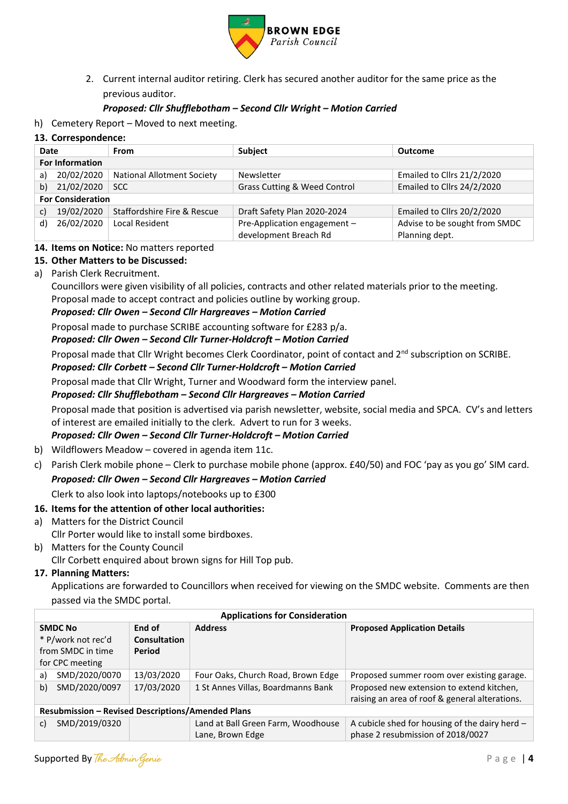

2. Current internal auditor retiring. Clerk has secured another auditor for the same price as the previous auditor.

### *Proposed: Cllr Shufflebotham – Second Cllr Wright – Motion Carried*

h) Cemetery Report – Moved to next meeting.

#### **13. Correspondence:**

| Date                   |                          | <b>From</b>                       | <b>Subject</b>               | <b>Outcome</b>                |
|------------------------|--------------------------|-----------------------------------|------------------------------|-------------------------------|
| <b>For Information</b> |                          |                                   |                              |                               |
| a)                     | 20/02/2020               | <b>National Allotment Society</b> | Newsletter                   | Emailed to Cllrs 21/2/2020    |
| 21/02/2020<br>b)       |                          | <b>SCC</b>                        | Grass Cutting & Weed Control | Emailed to Cllrs 24/2/2020    |
|                        | <b>For Consideration</b> |                                   |                              |                               |
| c)                     | 19/02/2020               | Staffordshire Fire & Rescue       | Draft Safety Plan 2020-2024  | Emailed to Cllrs 20/2/2020    |
| d)                     | 26/02/2020               | <b>Local Resident</b>             | Pre-Application engagement - | Advise to be sought from SMDC |
|                        |                          |                                   | development Breach Rd        | Planning dept.                |

#### **14. Items on Notice:** No matters reported

#### **15. Other Matters to be Discussed:**

a) Parish Clerk Recruitment.

Councillors were given visibility of all policies, contracts and other related materials prior to the meeting. Proposal made to accept contract and policies outline by working group.

#### *Proposed: Cllr Owen – Second Cllr Hargreaves – Motion Carried*

Proposal made to purchase SCRIBE accounting software for £283 p/a.

#### *Proposed: Cllr Owen – Second Cllr Turner-Holdcroft – Motion Carried*

Proposal made that Cllr Wright becomes Clerk Coordinator, point of contact and 2<sup>nd</sup> subscription on SCRIBE.

### *Proposed: Cllr Corbett – Second Cllr Turner-Holdcroft – Motion Carried*

Proposal made that Cllr Wright, Turner and Woodward form the interview panel.

#### *Proposed: Cllr Shufflebotham – Second Cllr Hargreaves – Motion Carried*

Proposal made that position is advertised via parish newsletter, website, social media and SPCA. CV's and letters of interest are emailed initially to the clerk. Advert to run for 3 weeks.

# *Proposed: Cllr Owen – Second Cllr Turner-Holdcroft – Motion Carried*

- b) Wildflowers Meadow covered in agenda item 11c.
- c) Parish Clerk mobile phone Clerk to purchase mobile phone (approx. £40/50) and FOC 'pay as you go' SIM card. *Proposed: Cllr Owen – Second Cllr Hargreaves – Motion Carried*

Clerk to also look into laptops/notebooks up to £300

# **16. Items for the attention of other local authorities:**

- a) Matters for the District Council Cllr Porter would like to install some birdboxes.
- b) Matters for the County Council

Cllr Corbett enquired about brown signs for Hill Top pub.

# **17. Planning Matters:**

Applications are forwarded to Councillors when received for viewing on the SMDC website. Comments are then passed via the SMDC portal.

|                                           | <b>Applications for Consideration</b>                    |            |                                    |                                                |  |  |
|-------------------------------------------|----------------------------------------------------------|------------|------------------------------------|------------------------------------------------|--|--|
| End of<br><b>SMDC No</b>                  |                                                          |            | <b>Address</b>                     | <b>Proposed Application Details</b>            |  |  |
| * P/work not rec'd<br><b>Consultation</b> |                                                          |            |                                    |                                                |  |  |
| Period<br>from SMDC in time               |                                                          |            |                                    |                                                |  |  |
|                                           | for CPC meeting                                          |            |                                    |                                                |  |  |
| a)                                        | SMD/2020/0070                                            | 13/03/2020 | Four Oaks, Church Road, Brown Edge | Proposed summer room over existing garage.     |  |  |
| b)                                        | SMD/2020/0097                                            | 17/03/2020 | 1 St Annes Villas, Boardmanns Bank | Proposed new extension to extend kitchen,      |  |  |
|                                           |                                                          |            |                                    | raising an area of roof & general alterations. |  |  |
|                                           | <b>Resubmission - Revised Descriptions/Amended Plans</b> |            |                                    |                                                |  |  |
| c)                                        | SMD/2019/0320                                            |            | Land at Ball Green Farm, Woodhouse | A cubicle shed for housing of the dairy herd - |  |  |
|                                           |                                                          |            | Lane, Brown Edge                   | phase 2 resubmission of 2018/0027              |  |  |